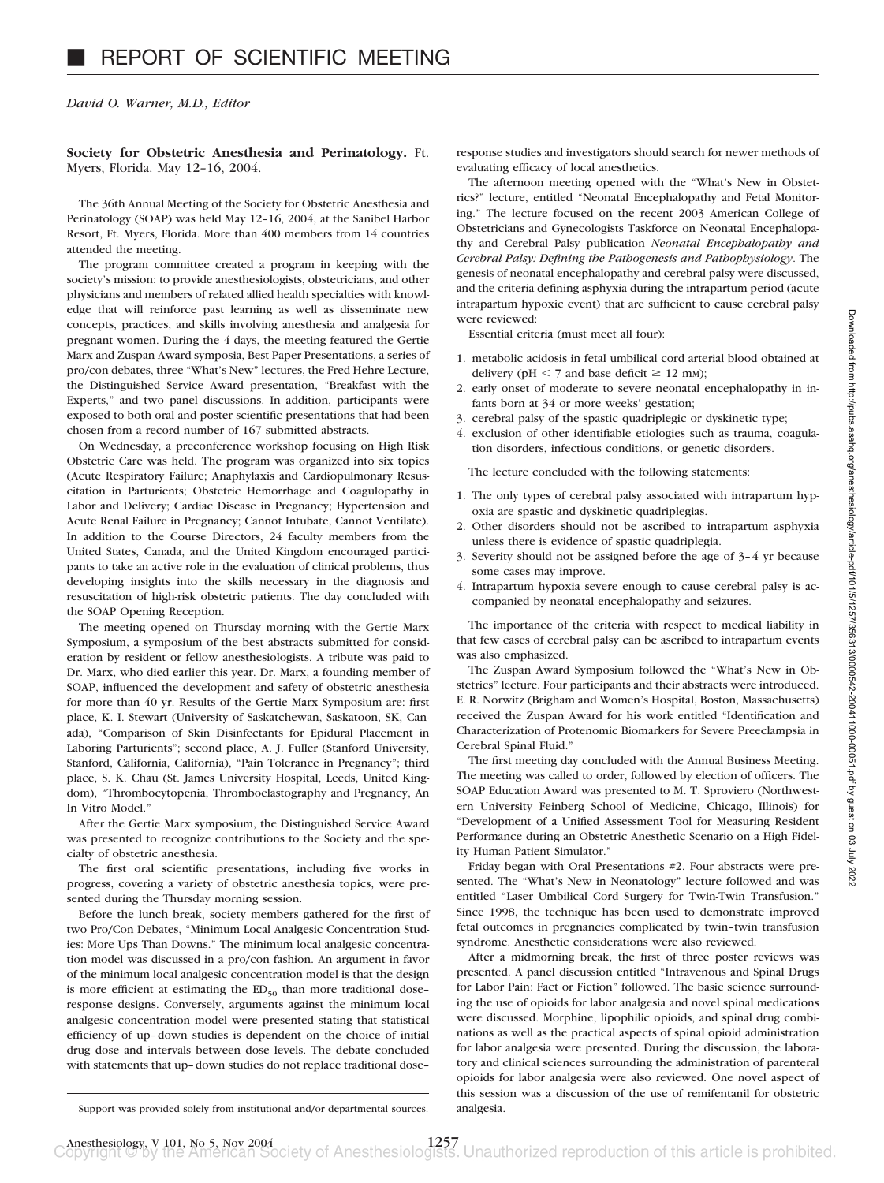*David O. Warner, M.D., Editor*

**Society for Obstetric Anesthesia and Perinatology.** Ft. Myers, Florida. May 12–16, 2004.

The 36th Annual Meeting of the Society for Obstetric Anesthesia and Perinatology (SOAP) was held May 12–16, 2004, at the Sanibel Harbor Resort, Ft. Myers, Florida. More than 400 members from 14 countries attended the meeting.

The program committee created a program in keeping with the society's mission: to provide anesthesiologists, obstetricians, and other physicians and members of related allied health specialties with knowledge that will reinforce past learning as well as disseminate new concepts, practices, and skills involving anesthesia and analgesia for pregnant women. During the 4 days, the meeting featured the Gertie Marx and Zuspan Award symposia, Best Paper Presentations, a series of pro/con debates, three "What's New" lectures, the Fred Hehre Lecture, the Distinguished Service Award presentation, "Breakfast with the Experts," and two panel discussions. In addition, participants were exposed to both oral and poster scientific presentations that had been chosen from a record number of 167 submitted abstracts.

On Wednesday, a preconference workshop focusing on High Risk Obstetric Care was held. The program was organized into six topics (Acute Respiratory Failure; Anaphylaxis and Cardiopulmonary Resuscitation in Parturients; Obstetric Hemorrhage and Coagulopathy in Labor and Delivery; Cardiac Disease in Pregnancy; Hypertension and Acute Renal Failure in Pregnancy; Cannot Intubate, Cannot Ventilate). In addition to the Course Directors, 24 faculty members from the United States, Canada, and the United Kingdom encouraged participants to take an active role in the evaluation of clinical problems, thus developing insights into the skills necessary in the diagnosis and resuscitation of high-risk obstetric patients. The day concluded with the SOAP Opening Reception.

The meeting opened on Thursday morning with the Gertie Marx Symposium, a symposium of the best abstracts submitted for consideration by resident or fellow anesthesiologists. A tribute was paid to Dr. Marx, who died earlier this year. Dr. Marx, a founding member of SOAP, influenced the development and safety of obstetric anesthesia for more than 40 yr. Results of the Gertie Marx Symposium are: first place, K. I. Stewart (University of Saskatchewan, Saskatoon, SK, Canada), "Comparison of Skin Disinfectants for Epidural Placement in Laboring Parturients"; second place, A. J. Fuller (Stanford University, Stanford, California, California), "Pain Tolerance in Pregnancy"; third place, S. K. Chau (St. James University Hospital, Leeds, United Kingdom), "Thrombocytopenia, Thromboelastography and Pregnancy, An In Vitro Model."

After the Gertie Marx symposium, the Distinguished Service Award was presented to recognize contributions to the Society and the specialty of obstetric anesthesia.

The first oral scientific presentations, including five works in progress, covering a variety of obstetric anesthesia topics, were presented during the Thursday morning session.

Before the lunch break, society members gathered for the first of two Pro/Con Debates, "Minimum Local Analgesic Concentration Studies: More Ups Than Downs." The minimum local analgesic concentration model was discussed in a pro/con fashion. An argument in favor of the minimum local analgesic concentration model is that the design is more efficient at estimating the  $ED_{50}$  than more traditional doseresponse designs. Conversely, arguments against the minimum local analgesic concentration model were presented stating that statistical efficiency of up–down studies is dependent on the choice of initial drug dose and intervals between dose levels. The debate concluded with statements that up–down studies do not replace traditional dose–

response studies and investigators should search for newer methods of evaluating efficacy of local anesthetics.

The afternoon meeting opened with the "What's New in Obstetrics?" lecture, entitled "Neonatal Encephalopathy and Fetal Monitoring." The lecture focused on the recent 2003 American College of Obstetricians and Gynecologists Taskforce on Neonatal Encephalopathy and Cerebral Palsy publication *Neonatal Encephalopathy and Cerebral Palsy: Defining the Pathogenesis and Pathophysiology*. The genesis of neonatal encephalopathy and cerebral palsy were discussed, and the criteria defining asphyxia during the intrapartum period (acute intrapartum hypoxic event) that are sufficient to cause cerebral palsy were reviewed:

Essential criteria (must meet all four):

- 1. metabolic acidosis in fetal umbilical cord arterial blood obtained at delivery ( $pH < 7$  and base deficit  $\geq 12$  mm);
- 2. early onset of moderate to severe neonatal encephalopathy in infants born at 34 or more weeks' gestation;
- 3. cerebral palsy of the spastic quadriplegic or dyskinetic type;
- 4. exclusion of other identifiable etiologies such as trauma, coagulation disorders, infectious conditions, or genetic disorders.

The lecture concluded with the following statements:

- 1. The only types of cerebral palsy associated with intrapartum hypoxia are spastic and dyskinetic quadriplegias.
- 2. Other disorders should not be ascribed to intrapartum asphyxia unless there is evidence of spastic quadriplegia.
- 3. Severity should not be assigned before the age of 3–4 yr because some cases may improve.
- 4. Intrapartum hypoxia severe enough to cause cerebral palsy is accompanied by neonatal encephalopathy and seizures.

The importance of the criteria with respect to medical liability in that few cases of cerebral palsy can be ascribed to intrapartum events was also emphasized.

The Zuspan Award Symposium followed the "What's New in Obstetrics" lecture. Four participants and their abstracts were introduced. E. R. Norwitz (Brigham and Women's Hospital, Boston, Massachusetts) received the Zuspan Award for his work entitled "Identification and Characterization of Protenomic Biomarkers for Severe Preeclampsia in Cerebral Spinal Fluid."

The first meeting day concluded with the Annual Business Meeting. The meeting was called to order, followed by election of officers. The SOAP Education Award was presented to M. T. Sproviero (Northwestern University Feinberg School of Medicine, Chicago, Illinois) for "Development of a Unified Assessment Tool for Measuring Resident Performance during an Obstetric Anesthetic Scenario on a High Fidelity Human Patient Simulator."

Friday began with Oral Presentations #2. Four abstracts were presented. The "What's New in Neonatology" lecture followed and was entitled "Laser Umbilical Cord Surgery for Twin-Twin Transfusion." Since 1998, the technique has been used to demonstrate improved fetal outcomes in pregnancies complicated by twin–twin transfusion syndrome. Anesthetic considerations were also reviewed.

After a midmorning break, the first of three poster reviews was presented. A panel discussion entitled "Intravenous and Spinal Drugs for Labor Pain: Fact or Fiction" followed. The basic science surrounding the use of opioids for labor analgesia and novel spinal medications were discussed. Morphine, lipophilic opioids, and spinal drug combinations as well as the practical aspects of spinal opioid administration for labor analgesia were presented. During the discussion, the laboratory and clinical sciences surrounding the administration of parenteral opioids for labor analgesia were also reviewed. One novel aspect of this session was a discussion of the use of remifentanil for obstetric

Support was provided solely from institutional and/or departmental sources. analgesia.